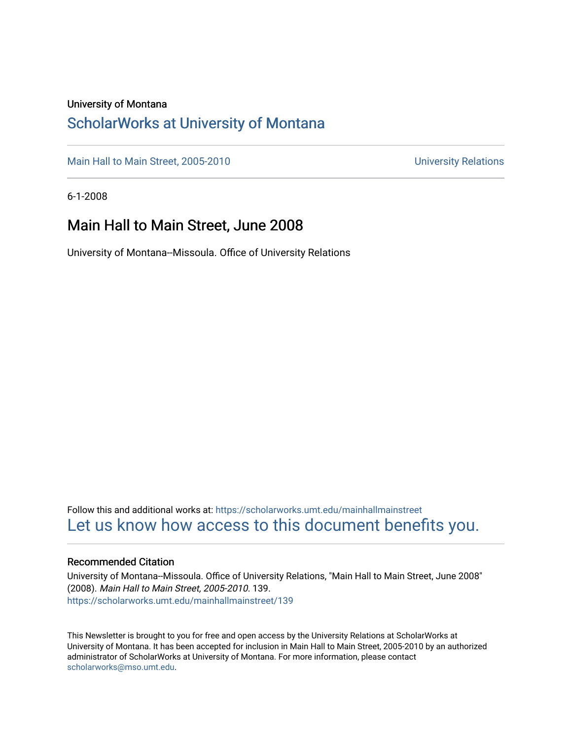#### University of Montana

### [ScholarWorks at University of Montana](https://scholarworks.umt.edu/)

[Main Hall to Main Street, 2005-2010](https://scholarworks.umt.edu/mainhallmainstreet) Main Hall to Main Street, 2005-2010

6-1-2008

### Main Hall to Main Street, June 2008

University of Montana--Missoula. Office of University Relations

Follow this and additional works at: [https://scholarworks.umt.edu/mainhallmainstreet](https://scholarworks.umt.edu/mainhallmainstreet?utm_source=scholarworks.umt.edu%2Fmainhallmainstreet%2F139&utm_medium=PDF&utm_campaign=PDFCoverPages) [Let us know how access to this document benefits you.](https://goo.gl/forms/s2rGfXOLzz71qgsB2) 

#### Recommended Citation

University of Montana--Missoula. Office of University Relations, "Main Hall to Main Street, June 2008" (2008). Main Hall to Main Street, 2005-2010. 139. [https://scholarworks.umt.edu/mainhallmainstreet/139](https://scholarworks.umt.edu/mainhallmainstreet/139?utm_source=scholarworks.umt.edu%2Fmainhallmainstreet%2F139&utm_medium=PDF&utm_campaign=PDFCoverPages)

This Newsletter is brought to you for free and open access by the University Relations at ScholarWorks at University of Montana. It has been accepted for inclusion in Main Hall to Main Street, 2005-2010 by an authorized administrator of ScholarWorks at University of Montana. For more information, please contact [scholarworks@mso.umt.edu.](mailto:scholarworks@mso.umt.edu)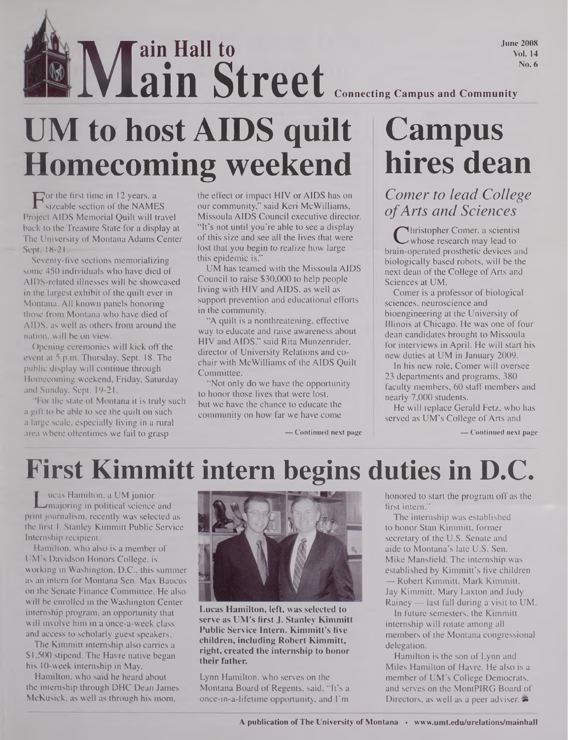June 2008 Vol. 14 No. 6

## **Main Street** Connecting Campus and Community **ain Street UM to host AIDS quilt Homecoming weekend**

**ain Hall to**

For the first time in 12 years, a<br>sizeable section of the NAME<br>oiect AIDS Memorial Ouilt will t sizeable section of the NAMES Project AIDS Memorial Quilt will travel back to the Treasure State for a display at The University of Montana Adams Center Sept. 18-21.

Seventy-five sections memorializing some 450 individuals who have died of AIDS-related illnesses will be showcased in the largest exhibit of the quilt ever in Montana. All known panels honoring those from Montana who have died of AIDS, as well as others from around the nation, will be on view.

Opening ceremonies will kick off the event at 5 p.m. Thursday, Sept. 18. The public display will continue through Homecoming weekend, Friday, Saturday and Sunday, Sept. 19-21.

"For the state of Montana it is truly such a gift to be able to see the quilt on such a large scale, especially living in a rural area where oftentimes we fail to grasp

the effect or impact HIV or AIDS has on our community," said Keri McWilliams, Missoula AIDS Council executive director. "It's not until you're able to see a display of this size and see all the lives that were lost that you begin to realize how large this epidemic is."

UM has teamed with the Missoula AIDS Council to raise \$30,000 to help people living with HIV and AIDS, as well as support prevention and educational efforts in the community.

"A quilt is a nonthreatening, effective way to educate and raise awareness about HIV and AIDS," said Rita Munzenrider, director of University Relations and cochair with McWilliams of the AIDS Quilt Committee.

"Not only do we have the opportunity to honor those lives that were lost, but we have the chance to educate the community on how far we have come

**— Continued next page**

# **Campus hires dean**

*Comer to lead College ofArts and Sciences*

C 'nristopher Comer, a scientist<br>ain-operated prosthetic devices and hristopher Comer, a scientist whose research may lead to biologically based robots, will be the next dean of the College of Arts and Sciences at UM.

Comer is a professor of biological sciences, neuroscience and bioengineering at the University of Illinois at Chicago. He was one of four dean candidates brought to Missoula for interviews in April. He will start his new duties at UM in January 2009.

In his new role, Comer will oversee 23 departments and programs, 380 faculty members, 60 staff members and nearly 7,000 students.

He will replace Gerald Fetz, who has served as UM's College of Arts and

**— Continued next page**

### **First Kimmitt intern begins duties in D.C.**

L<br>
majoring in political science and<br>
int journalism, recently was selected as ucas Hamilton, a UM junior majoring in political science and the first J. Stanley Kimmitt Public Service Internship recipient.

Hamilton, who also is a member of UM's Davidson Honors College, is working in Washington, D.C., this summer as an intern for Montana Sen. Max Baucus on the Senate Finance Committee. He also will be enrolled in the Washington Center internship program, an opportunity that will involve him in a once-a-week class and access to scholarly guest speakers.

The Kimmitt internship also carries a \$1,500 stipend. The Havre native began his 10-week internship in May.

Hamilton, who said he heard about the internship through DHC Dean James McKusick, as well as through his mom.



**Lucas Hamilton, left, was selected to serve as UM's first J. Stanley Kimmitt Public Service Intern. Kimmitt's five children, including Robert Kimmitt, right, created the internship to honor their father.**

Lynn Hamilton, who serves on the Montana Board of Regents, said, "It's a once-in-a-lifetime opportunity, and I'm honored to start the program off as the first intern."

The internship was established to honor Stan Kimmitt, former secretary of the U.S. Senate and aide to Montana's late U.S. Sen. Mike Mansfield. The internship was established by Kimmitt's five children — Robert Kimmitt, Mark Kimmitt, Jay Kimmitt, Mary Laxton and Judy Rainey — last fall during a visit to UM.

In future semesters, the Kimmitt internship will rotate among all members of the Montana congressional delegation.

Hamilton is the son of Lynn and Miles Hamilton of Havre. He also is a member of UM's College Democrats, and serves on the MontPIRG Board of Directors, as well as a peer adviser.  $\blacktriangleright$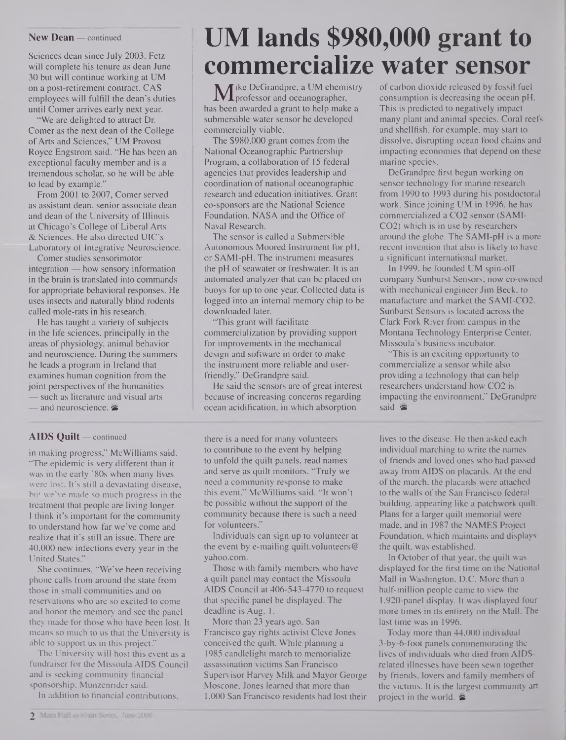#### **New Dean —** continued

Sciences dean since July 2003. Fetz will complete his tenure as dean June 30 but will continue working at UM on a post-retirement contract. CAS employees will fulfill the dean's duties until Comer arrives early next year.

"We are delighted to attract Dr. Comer as the next dean of the College ofArts and Sciences," UM Provost Royce Engstrom said. "He has been an exceptional faculty member and is a tremendous scholar, so he will be able to lead by example."

From 2001 to 2007, Comer served as assistant dean, senior associate dean and dean of the University of Illinois at Chicago's College of Liberal Arts & Sciences. He also directed UIC's Laboratory of Integrative Neuroscience.

Comer studies sensorimotor integration — how sensory information in the brain is translated into commands for appropriate behavioral responses. He uses insects and naturally blind rodents called mole-rats in his research.

He has taught a variety of subjects in the life sciences, principally in the areas of physiology, animal behavior and neuroscience. During the summers he leads a program in Ireland that examines human cognition from the joint perspectives of the humanities — such as literature and visual arts

— and neuroscience. &

#### **AIDS Quilt —** continued

in making progress," McWilliams said. "The epidemic is very different than it was in the early '80s when many lives were lost. It's still a devastating disease, but we've made so much progress in the treatment that people are living longer. <sup>I</sup> think it's important for the community to understand how far we've come and realize that it's still an issue. There are 40,000 new infections every year in the United States."

She continues, "We've been receiving phone calls from around the state from those in small communities and on reservations who are so excited to come and honor the memory and see the panel they made for those who have been lost. It means so much to us that the University is able to support us in this project."

The University will host this event as a fundraiser for the Missoula AIDS Council and is seeking community financial sponsorship. Munzenrider said.

In addition to financial contributions,

## **UM lands \$980,000 grant to commercialize water sensor**

**M** ike DeGrandpre, a UM chemistry<br>s been awarded a grant to help make a professor and oceanographer, has been awarded a grant to help make a submersible water sensor he developed commercially viable.

The \$980,000 grant comes from the National Oceanographic Partnership Program, a collaboration of 15 federal agencies that provides leadership and coordination of national oceanographic research and education initiatives. Grant co-sponsors are the National Science Foundation, NASA and the Office of Naval Research.

The sensor is called a Submersible Autonomous Moored Instrument for pH, or SAMI-pH. The instrument measures the pH of seawater or freshwater. It is an automated analyzer that can be placed on buoys for up to one year. Collected data is logged into an internal memory chip to be downloaded later.

"This grant will facilitate commercialization by providing support for improvements in the mechanical design and software in order to make the instrument more reliable and userfriendly," DeGrandpre said.

He said the sensors are of great interest because of increasing concerns regarding ocean acidification, in which absorption

there is a need for many volunteers to contribute to the event by helping to unfold the quilt panels, read names and serve as quilt monitors. "Truly we need a community response to make this event," McWilliams said. "It won't be possible without the support of the community because there is such a need for volunteers."

Individuals can sign up to volunteer at the event by e-mailing quilt.volunteers@ <yahoo.com>.

Those with family members who have a quilt panel may contact the Missoula AIDS Council at 406-543-4770 to request that specific panel be displayed. The deadline is Aug. 1.

More than 23 years ago, San Francisco gay rights activist Cleve Jones conceived the quilt. While planning a 1985 candlelight march to memorialize assassination victims San Francisco Supervisor Harvey Milk and Mayor George Moscone, Jones learned that more than 1,000 San Francisco residents had lost their

of carbon dioxide released by fossil fuel consumption is decreasing the ocean pH. This is predicted to negatively impact many plant and animal species. Coral reefs and shellfish, for example, may start to dissolve, disrupting ocean food chains and impacting economies that depend on these marine species.

DeGrandpre first began working on sensor technology for marine research from 1990 to 1993 during his postdoctoral work. Since joining UM in 1996, he has commercialized a CO2 sensor (SAMI-CO2) which is in use by researchers around the globe. The SAMI-pH is a more recent invention that also is likely to have a significant international market.

In 1999, he founded UM spin-off company Sunburst Sensors, now co-owned with mechanical engineer Jim Beck, to manufacture and market the SAMI-CO2. Sunburst Sensors is located across the Clark Fork River from campus in the Montana Technology Enterprise Center, Missoula's business incubator.

"This is an exciting opportunity to commercialize a sensor while also providing a technology that can help researchers understand how CO2 is impacting the environment," DeGrandpre said.

lives to the disease. He then asked each individual marching to write the names of friends and loved ones who had passed away from AIDS on placards. At the end of the march, the placards were attached to the walls of the San Francisco federal building, appearing like a patchwork quilt. Plans for a larger quilt memorial were made, and in 1987 the NAMES Project Foundation, which maintains and displays the quilt, was established.

In October of that year, the quilt was displayed for the first time on the National Mall in Washington, D.C. More than a half-million people came to view the 1,920-panel display. It was displayed four more times in its entirety on the Mall. The last time was in 1996.

Today more than 44,000 individual 3-by-6-foot panels commemorating the lives of individuals who died from AIDSrelated illnesses have been sewn together by friends, lovers and family members of the victims. It is the largest community art project in the world.  $\approx$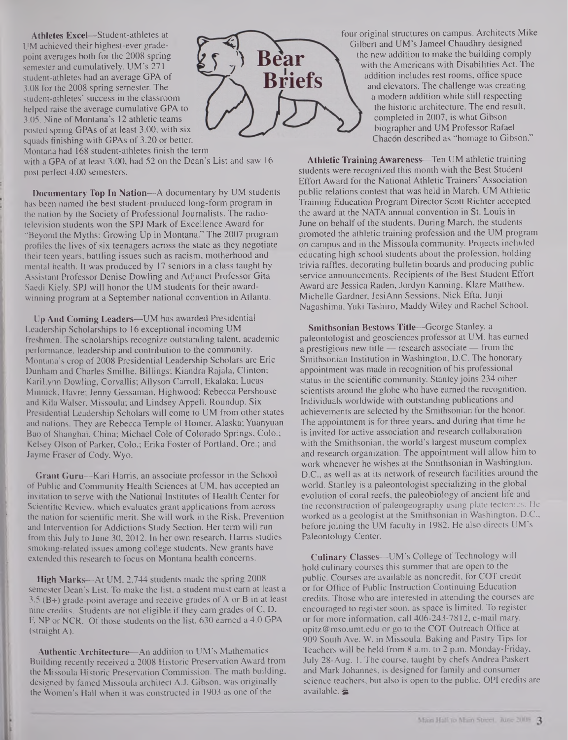**Athletes Excel—**Student-athletes at UM achieved their highest-ever gradepoint averages both for the 2008 spring semester and cumulatively. UM's 271 student-athletes had an average GPA of 3.08 for the 2008 spring semester. The student-athletes' success in the classroom helped raise the average cumulative GPA to 3.05. Nine of Montana's 12 athletic teams posted spring GPAs of at least 3.00, with six squads finishing with GPAs of 3.20 or better.



Montana had 168 student-athletes finish the term

with a GPA of at least 3.00, had 52 on the Dean's List and saw 16 post perfect 4.00 semesters.

**Documentary Top In Nation—**A documentary by UM students has been named the best student-produced long-form program in the nation by the Society of Professional Journalists. The radiotelevision students won the SPJ Mark of Excellence Award for "Beyond the Myths: Growing Up in Montana." The 2007 program profiles the lives of six teenagers across the state as they negotiate their teen years, battling issues such as racism, motherhood and mental health. It was produced by 17 seniors in a class taught by Assistant Professor Denise Dowling and Adjunct Professor Gita Saedi Kiely. SPJ will honor the UM students for their awardwinning program at a September national convention in Atlanta.

**Up And Coming Leaders—UM** has awarded Presidential Leadership Scholarships to 16 exceptional incoming UM freshmen. The scholarships recognize outstanding talent, academic performance, leadership and contribution to the community. Montana's crop of 2008 Presidential Leadership Scholars are Eric Dunham and Charles **Smillie,** Billings; Kiandra Rajala, Clinton; KariLynn Dowling, Corvallis; Allyson Carroll, Ekalaka; Lucas Minnick, Havre; Jenny Gessaman, Highwood; Rebecca Pershouse and Kila Walser, Missoula; and Lindsey Appell, Roundup. Six Presidential Leadership Scholars will come to UM from other states and nations. They are Rebecca Temple of Homer, Alaska; Yuanyuan Bao of Shanghai, China; Michael Cole of Colorado Springs, Colo.; Kelsey Olson of Parker, Colo.; Erika Foster of Portland, Ore.; and Jayme Fraser of Cody, **Wyo.**

**Grant Guru—Kari** Harris, an associate professor in the School of Public and Community Health Sciences at UM, has accepted an invitation to serve with the National Institutes of Health Center for Scientific Review, which evaluates grant applications from across the nation for scientific merit. She will work in the Risk, Prevention and Intervention for Addictions Study Section. Her term will run from this July to June 30,2012. In her own research, Harris studies smoking-related issues among college students. New grants have extended this research to focus on Montana health concerns.

**High Marks—**At UM, 2,744 students made the spring 2008 semester Dean's List. To make the list, a student must earn at least a  $3.5$  (B+) grade-point average and receive grades of A or B in at least nine credits. Students are not eligible if they earn grades of C, D, F, NP or NCR. Of those students on the list, 630 earned a 4.0 GPA (straight A).

**Authentic Architecture—**An addition to UM's Mathematics Building recently received a 2008 Historic Preservation Award from the Missoula Historic Preservation Commission. The math building, designed by famed Missoula architect A.J. Gibson, was originally the Women's Hall when it was constructed in 1903 as one of the

four original structures on campus. Architects Mike Gilbert and UM's Jameel Chaudhry designed the new addition to make the building comply with the Americans with Disabilities Act. The addition includes rest rooms, office space and elevators. The challenge was creating a modem addition while still respecting the historic architecture. The end result, completed in 2007, is what Gibson biographer and UM Professor Rafael Chacon described as "homage to Gibson."

**Athletic Training Awareness—**Ten UM athletic training students were recognized this month with the Best Student Effort Award for the National Athletic Trainers' Association public relations contest that was held in March. UM Athletic Training Education Program Director Scott Richter accepted the award at the NATA annual convention in St. Louis in June on behalf of the students. During March, the students promoted the athletic training profession and the UM program on campus and in the Missoula community. Projects included educating high school students about the profession, holding trivia raffles, decorating bulletin boards and producing public service announcements. Recipients of the Best Student Effort Award are Jessica Raden, Jordyn Kanning, Klare Matthew, Michelle Gardner, **JesiAnn** Sessions, Nick Efta, Junji Nagashima, Yuki Tashiro, Maddy Wiley and Rachel School.

**Smithsonian Bestows Title—**George Stanley, a paleontologist and geosciences professor at UM, has earned a prestigious new title — research associate — from the Smithsonian Institution in Washington, D.C. The honorary appointment was made in recognition of his professional status in the scientific community. Stanley joins 234 other scientists around the globe who have earned the recognition. Individuals worldwide with outstanding publications and achievements are selected by the Smithsonian for the honor. The appointment is for three years, and during that time he is invited for active association and research collaboration with the Smithsonian, the world's largest museum complex and research organization. The appointment will allow him to work whenever he wishes at the Smithsonian in Washington, D.C., as well as at its network of research facilities around the world. Stanley is a paleontologist specializing in the global evolution of coral reefs, the paleobiology of ancient life and the reconstruction of paleogeography using plate tectonics. He worked as a geologist at the Smithsonian in Washington, D.C., before joining the UM faculty in 1982. He also directs UM's Paleontology Center.

**Culinary Classes—UM's College of Technology will** hold culinary courses this summer that are open to the public. Courses are available as noncredit, for COT credit or for Office of Public Instruction Continuing Education credits. Those who are interested in attending the courses are encouraged to register soon, as space is limited. To register or for more information, call 406-243-7812, e-mail mary. [opitz@mso.umt.edu](mailto:opitz@mso.umt.edu) or go to the COT Outreach Office at 909 South Ave. W. in Missoula. Baking and Pastry Tips for Teachers will be held from 8 a.m. to 2 p.m. Monday-Friday, July 28-Aug. 1. The course, taught by chefs Andrea Paskert and Mark Johannes, is designed for family and consumer science teachers, but also is open to the public. OPI credits are available.